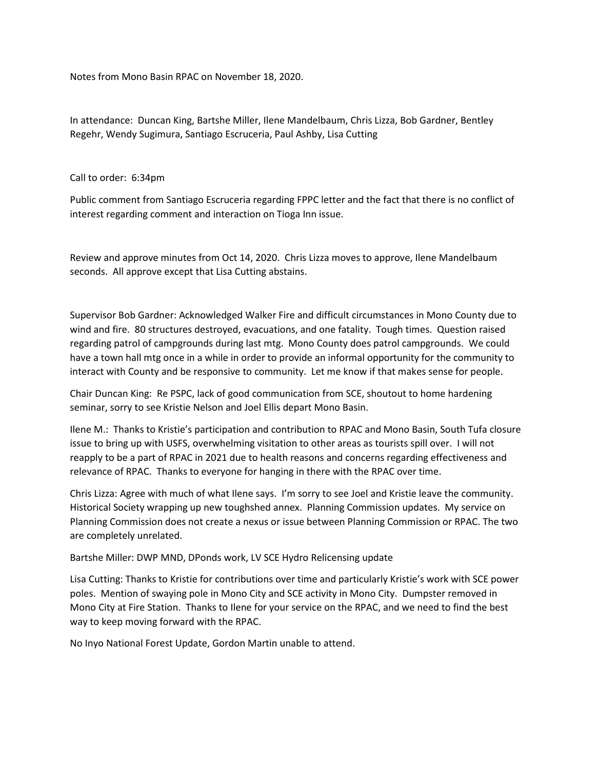Notes from Mono Basin RPAC on November 18, 2020.

In attendance: Duncan King, Bartshe Miller, Ilene Mandelbaum, Chris Lizza, Bob Gardner, Bentley Regehr, Wendy Sugimura, Santiago Escruceria, Paul Ashby, Lisa Cutting

Call to order: 6:34pm

Public comment from Santiago Escruceria regarding FPPC letter and the fact that there is no conflict of interest regarding comment and interaction on Tioga Inn issue.

Review and approve minutes from Oct 14, 2020. Chris Lizza moves to approve, Ilene Mandelbaum seconds. All approve except that Lisa Cutting abstains.

Supervisor Bob Gardner: Acknowledged Walker Fire and difficult circumstances in Mono County due to wind and fire. 80 structures destroyed, evacuations, and one fatality. Tough times. Question raised regarding patrol of campgrounds during last mtg. Mono County does patrol campgrounds. We could have a town hall mtg once in a while in order to provide an informal opportunity for the community to interact with County and be responsive to community. Let me know if that makes sense for people.

Chair Duncan King: Re PSPC, lack of good communication from SCE, shoutout to home hardening seminar, sorry to see Kristie Nelson and Joel Ellis depart Mono Basin.

Ilene M.: Thanks to Kristie's participation and contribution to RPAC and Mono Basin, South Tufa closure issue to bring up with USFS, overwhelming visitation to other areas as tourists spill over. I will not reapply to be a part of RPAC in 2021 due to health reasons and concerns regarding effectiveness and relevance of RPAC. Thanks to everyone for hanging in there with the RPAC over time.

Chris Lizza: Agree with much of what Ilene says. I'm sorry to see Joel and Kristie leave the community. Historical Society wrapping up new toughshed annex. Planning Commission updates. My service on Planning Commission does not create a nexus or issue between Planning Commission or RPAC. The two are completely unrelated.

Bartshe Miller: DWP MND, DPonds work, LV SCE Hydro Relicensing update

Lisa Cutting: Thanks to Kristie for contributions over time and particularly Kristie's work with SCE power poles. Mention of swaying pole in Mono City and SCE activity in Mono City. Dumpster removed in Mono City at Fire Station. Thanks to Ilene for your service on the RPAC, and we need to find the best way to keep moving forward with the RPAC.

No Inyo National Forest Update, Gordon Martin unable to attend.